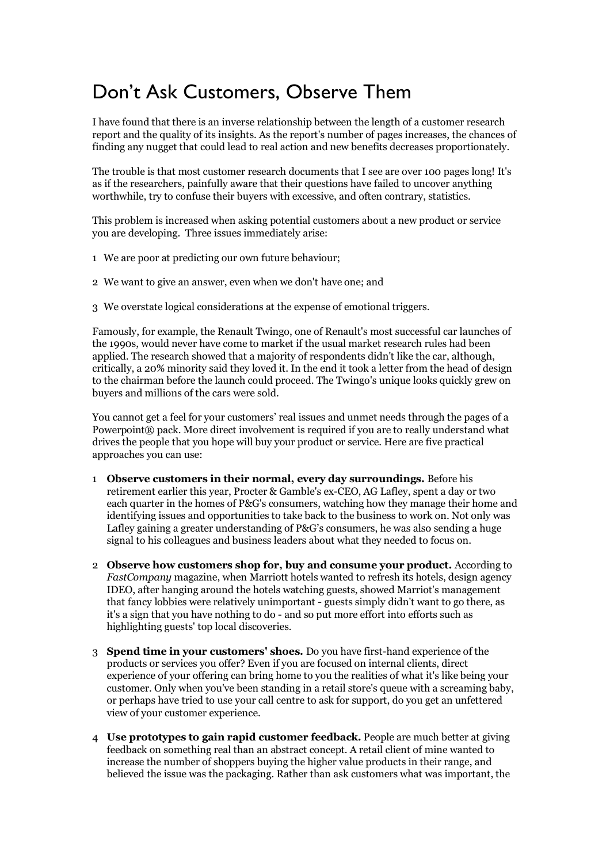## Don't Ask Customers, Observe Them

I have found that there is an inverse relationship between the length of a customer research report and the quality of its insights. As the report's number of pages increases, the chances of finding any nugget that could lead to real action and new benefits decreases proportionately.

The trouble is that most customer research documents that I see are over 100 pages long! It's as if the researchers, painfully aware that their questions have failed to uncover anything worthwhile, try to confuse their buyers with excessive, and often contrary, statistics.

This problem is increased when asking potential customers about a new product or service you are developing. Three issues immediately arise:

- 1 We are poor at predicting our own future behaviour;
- 2 We want to give an answer, even when we don't have one; and
- 3 We overstate logical considerations at the expense of emotional triggers.

Famously, for example, the Renault Twingo, one of Renault's most successful car launches of the 1990s, would never have come to market if the usual market research rules had been applied. The research showed that a majority of respondents didn't like the car, although, critically, a 20% minority said they loved it. In the end it took a letter from the head of design to the chairman before the launch could proceed. The Twingo's unique looks quickly grew on buyers and millions of the cars were sold.

You cannot get a feel for your customers' real issues and unmet needs through the pages of a Powerpoint® pack. More direct involvement is required if you are to really understand what drives the people that you hope will buy your product or service. Here are five practical approaches you can use:

- 1 **Observe customers in their normal, every day surroundings.** Before his retirement earlier this year, Procter & Gamble's ex-CEO, AG Lafley, spent a day or two each quarter in the homes of P&G's consumers, watching how they manage their home and identifying issues and opportunities to take back to the business to work on. Not only was Lafley gaining a greater understanding of P&G's consumers, he was also sending a huge signal to his colleagues and business leaders about what they needed to focus on.
- 2 **Observe how customers shop for, buy and consume your product.** According to *FastCompany* magazine, when Marriott hotels wanted to refresh its hotels, design agency IDEO, after hanging around the hotels watching guests, showed Marriot's management that fancy lobbies were relatively unimportant - guests simply didn't want to go there, as it's a sign that you have nothing to do - and so put more effort into efforts such as highlighting guests' top local discoveries.
- 3 **Spend time in your customers' shoes.** Do you have first-hand experience of the products or services you offer? Even if you are focused on internal clients, direct experience of your offering can bring home to you the realities of what it's like being your customer. Only when you've been standing in a retail store's queue with a screaming baby, or perhaps have tried to use your call centre to ask for support, do you get an unfettered view of your customer experience.
- 4 **Use prototypes to gain rapid customer feedback.** People are much better at giving feedback on something real than an abstract concept. A retail client of mine wanted to increase the number of shoppers buying the higher value products in their range, and believed the issue was the packaging. Rather than ask customers what was important, the